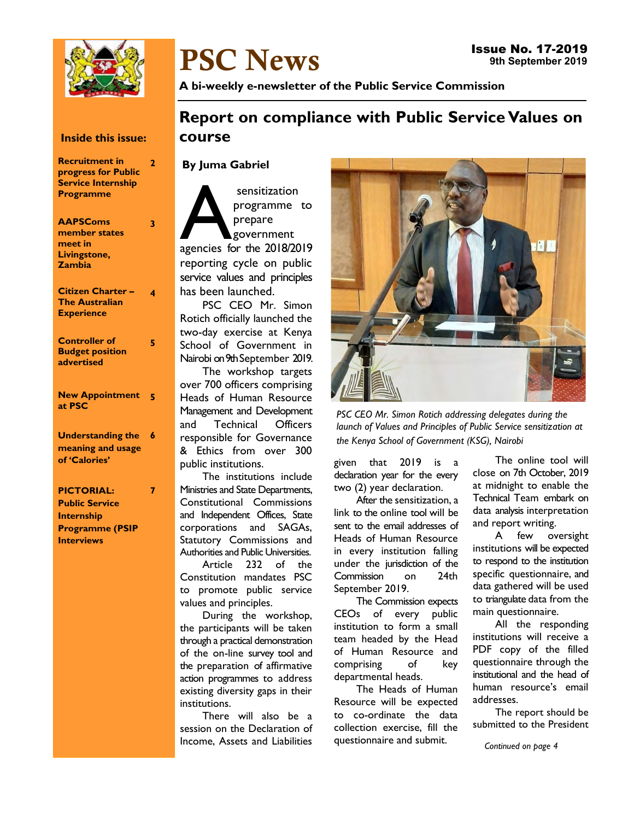

# PSC News

A bi-weekly e-newsletter of the Public Service Commission

## Report on compliance with Public Service Values on course

### By Juma Gabriel

sensitization<br>programme to<br>prepare<br>agencies for the 2018/2019 sensitization programme to prepare government reporting cycle on public service values and principles has been launched.

PSC CEO Mr. Simon Rotich officially launched the two-day exercise at Kenya School of Government in Nairobi on 9th September 2019.

The workshop targets over 700 officers comprising Heads of Human Resource Management and Development and Technical Officers responsible for Governance & Ethics from over 300 public institutions.

The institutions include Ministries and State Departments, Constitutional Commissions and Independent Offices, State corporations and SAGAs, Statutory Commissions and Authorities and Public Universities.

Article 232 of the Constitution mandates PSC to promote public service values and principles.

During the workshop, the participants will be taken through a practical demonstration of the on-line survey tool and the preparation of affirmative action programmes to address existing diversity gaps in their institutions.

There will also be a session on the Declaration of Income, Assets and Liabilities



PSC CEO Mr. Simon Rotich addressing delegates during the launch of Values and Principles of Public Service sensitization at the Kenya School of Government (KSG), Nairobi

given that 2019 is a declaration year for the every two (2) year declaration.

After the sensitization, a link to the online tool will be sent to the email addresses of Heads of Human Resource in every institution falling under the jurisdiction of the Commission on 24th September 2019.

The Commission expects CEOs of every public institution to form a small team headed by the Head of Human Resource and comprising of key departmental heads.

The Heads of Human Resource will be expected to co-ordinate the data collection exercise, fill the questionnaire and submit.

The online tool will close on 7th October, 2019 at midnight to enable the Technical Team embark on data analysis interpretation and report writing.

A few oversight institutions will be expected to respond to the institution specific questionnaire, and data gathered will be used to triangulate data from the main questionnaire.

All the responding institutions will receive a PDF copy of the filled questionnaire through the institutional and the head of human resource's email addresses.

The report should be submitted to the President

Continued on page 4

## Inside this issue:

Recruitment in progress for Public Service Internship Programme 2

| <b>AAPSComs</b><br>member states<br>meet in<br>Livingstone,<br>Zambia  | 3 |
|------------------------------------------------------------------------|---|
| <b>Citizen Charter -</b><br><b>The Australian</b><br><b>Experience</b> | 4 |
| <b>Controller of</b><br><b>Budget position</b><br>advertised           | 5 |
| <b>New Appointment</b><br>at PSC                                       | Š |
| <b>Understanding the</b><br>meaning and usage<br>of 'Calories'         | 6 |
| <b>PICTORIAL:</b>                                                      | 7 |

Public Service Internship Programme (PSIP **Interviews**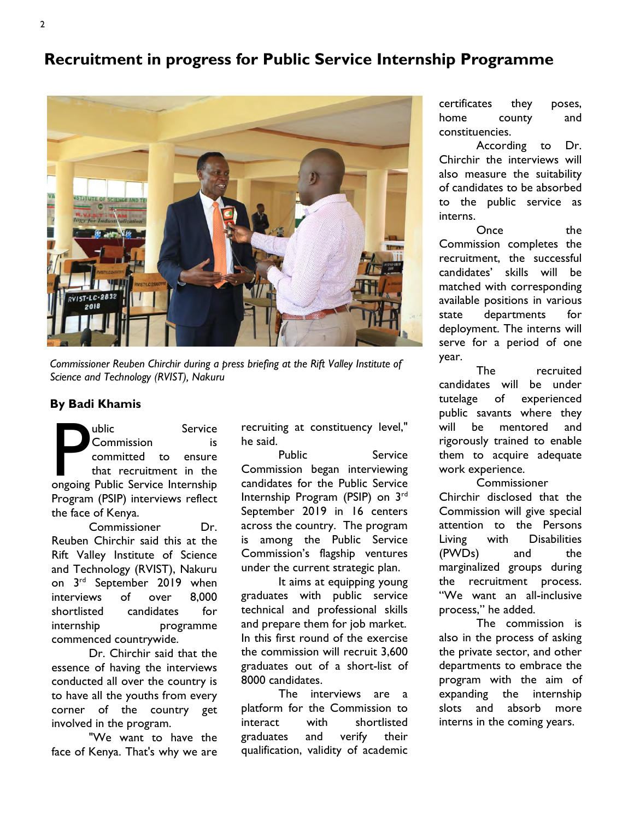## Recruitment in progress for Public Service Internship Programme



Commissioner Reuben Chirchir during a press briefing at the Rift Valley Institute of Science and Technology (RVIST), Nakuru

## By Badi Khamis

**Public Service**<br> **Commission** is<br>
committed to ensure<br>
that recruitment in the<br>
ongoing Public Service Internship ublic Service Commission is committed to ensure that recruitment in the Program (PSIP) interviews reflect the face of Kenya.

Commissioner Dr. Reuben Chirchir said this at the Rift Valley Institute of Science and Technology (RVIST), Nakuru on 3rd September 2019 when interviews of over 8,000 shortlisted candidates for internship programme commenced countrywide.

Dr. Chirchir said that the essence of having the interviews conducted all over the country is to have all the youths from every corner of the country get involved in the program.

"We want to have the face of Kenya. That's why we are recruiting at constituency level," he said.

Public Service Commission began interviewing candidates for the Public Service Internship Program (PSIP) on 3rd September 2019 in 16 centers across the country. The program is among the Public Service Commission's flagship ventures under the current strategic plan.

It aims at equipping young graduates with public service technical and professional skills and prepare them for job market. In this first round of the exercise the commission will recruit 3,600 graduates out of a short-list of 8000 candidates.

The interviews are a platform for the Commission to interact with shortlisted graduates and verify their qualification, validity of academic

certificates they poses, home county and constituencies.

According to Dr. Chirchir the interviews will also measure the suitability of candidates to be absorbed to the public service as interns.

Once the Commission completes the recruitment, the successful candidates' skills will be matched with corresponding available positions in various state departments for deployment. The interns will serve for a period of one year.

The recruited candidates will be under tutelage of experienced public savants where they will be mentored and rigorously trained to enable them to acquire adequate work experience.

Commissioner Chirchir disclosed that the Commission will give special attention to the Persons Living with Disabilities (PWDs) and the marginalized groups during the recruitment process. "We want an all-inclusive process," he added.

The commission is also in the process of asking the private sector, and other departments to embrace the program with the aim of expanding the internship slots and absorb more interns in the coming years.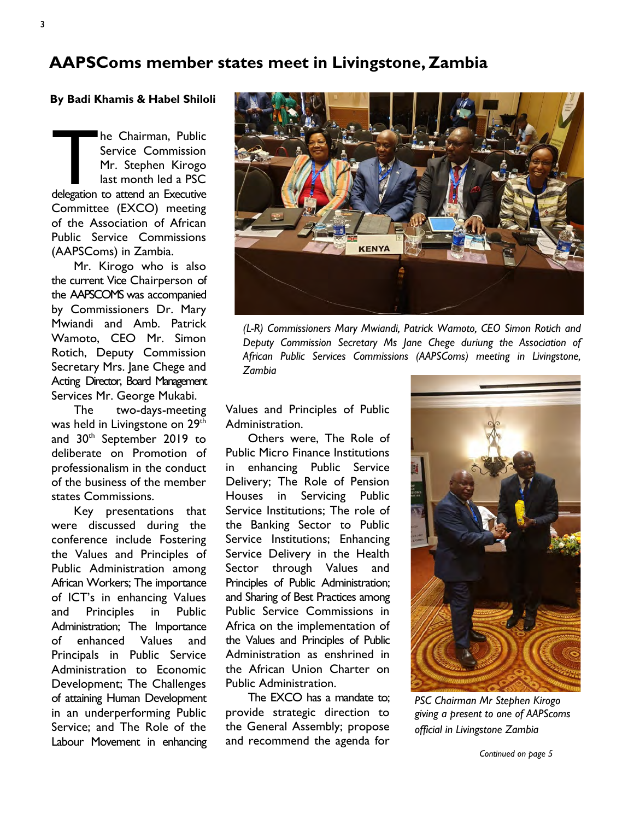## AAPSComs member states meet in Livingstone, Zambia

### By Badi Khamis & Habel Shiloli

The Chairman, Public<br>Service Commission<br>Mr. Stephen Kirogo<br>last month led a PSC<br>delegation to attend an Executive he Chairman, Public Service Commission Mr. Stephen Kirogo last month led a PSC Committee (EXCO) meeting of the Association of African Public Service Commissions (AAPSComs) in Zambia.

Mr. Kirogo who is also the current Vice Chairperson of the AAPSCOMS was accompanied by Commissioners Dr. Mary Mwiandi and Amb. Patrick Wamoto, CEO Mr. Simon Rotich, Deputy Commission Secretary Mrs. Jane Chege and Acting Director, Board Management Services Mr. George Mukabi.

The two-days-meeting was held in Livingstone on 29<sup>th</sup> and 30th September 2019 to deliberate on Promotion of professionalism in the conduct of the business of the member states Commissions.

Key presentations that were discussed during the conference include Fostering the Values and Principles of Public Administration among African Workers; The importance of ICT's in enhancing Values and Principles in Public Administration; The Importance of enhanced Values and Principals in Public Service Administration to Economic Development; The Challenges of attaining Human Development in an underperforming Public Service; and The Role of the Labour Movement in enhancing



(L-R) Commissioners Mary Mwiandi, Patrick Wamoto, CEO Simon Rotich and Deputy Commission Secretary Ms Jane Chege duriung the Association of African Public Services Commissions (AAPSComs) meeting in Livingstone, Zambia

Values and Principles of Public Administration.

Others were, The Role of Public Micro Finance Institutions in enhancing Public Service Delivery; The Role of Pension Houses in Servicing Public Service Institutions; The role of the Banking Sector to Public Service Institutions; Enhancing Service Delivery in the Health Sector through Values and Principles of Public Administration; and Sharing of Best Practices among Public Service Commissions in Africa on the implementation of the Values and Principles of Public Administration as enshrined in the African Union Charter on Public Administration.

The EXCO has a mandate to; provide strategic direction to the General Assembly; propose and recommend the agenda for



PSC Chairman Mr Stephen Kirogo giving a present to one of AAPScoms official in Livingstone Zambia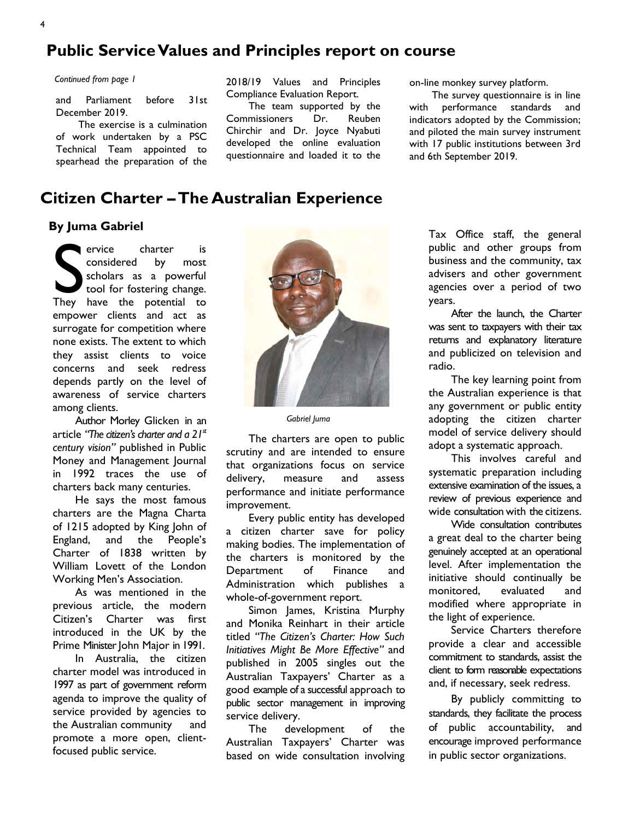# Public Service Values and Principles report on course

Continued from page 1

and Parliament before 31st December 2019.

The exercise is a culmination of work undertaken by a PSC Technical Team appointed to spearhead the preparation of the 2018/19 Values and Principles Compliance Evaluation Report.

The team supported by the Commissioners Dr. Reuben Chirchir and Dr. Joyce Nyabuti developed the online evaluation questionnaire and loaded it to the on-line monkey survey platform.

The survey questionnaire is in line with performance standards and indicators adopted by the Commission; and piloted the main survey instrument with 17 public institutions between 3rd and 6th September 2019.

## Citizen Charter –The Australian Experience

#### By Juma Gabriel

ervice charter is<br>
considered by most<br>
scholars as a powerful<br>
tool for fostering change.<br>
They have the potential to ervice charter is considered by most scholars as a powerful tool for fostering change. empower clients and act as surrogate for competition where none exists. The extent to which they assist clients to voice concerns and seek redress depends partly on the level of awareness of service charters among clients.

Author Morley Glicken in an article "The citizen's charter and a  $21<sup>st</sup>$ century vision" published in Public Money and Management Journal in 1992 traces the use of charters back many centuries.

He says the most famous charters are the Magna Charta of 1215 adopted by King John of England, and the People's Charter of 1838 written by William Lovett of the London Working Men's Association.

As was mentioned in the previous article, the modern Citizen's Charter was first introduced in the UK by the Prime Minister John Major in 1991.

In Australia, the citizen charter model was introduced in 1997 as part of government reform agenda to improve the quality of service provided by agencies to the Australian community and promote a more open, clientfocused public service.



Gabriel Juma

The charters are open to public scrutiny and are intended to ensure that organizations focus on service delivery, measure and assess performance and initiate performance improvement.

Every public entity has developed a citizen charter save for policy making bodies. The implementation of the charters is monitored by the Department of Finance and Administration which publishes a whole-of-government report.

Simon James, Kristina Murphy and Monika Reinhart in their article titled "The Citizen's Charter: How Such Initiatives Might Be More Effective" and published in 2005 singles out the Australian Taxpayers' Charter as a good example of a successful approach to public sector management in improving service delivery.

The development of the Australian Taxpayers' Charter was based on wide consultation involving

Tax Office staff, the general public and other groups from business and the community, tax advisers and other government agencies over a period of two years.

After the launch, the Charter was sent to taxpayers with their tax returns and explanatory literature and publicized on television and radio.

The key learning point from the Australian experience is that any government or public entity adopting the citizen charter model of service delivery should adopt a systematic approach.

This involves careful and systematic preparation including extensive examination of the issues, a review of previous experience and wide consultation with the citizens.

Wide consultation contributes a great deal to the charter being genuinely accepted at an operational level. After implementation the initiative should continually be monitored, evaluated and modified where appropriate in the light of experience.

Service Charters therefore provide a clear and accessible commitment to standards, assist the client to form reasonable expectations and, if necessary, seek redress.

By publicly committing to standards, they facilitate the process of public accountability, and encourage improved performance in public sector organizations.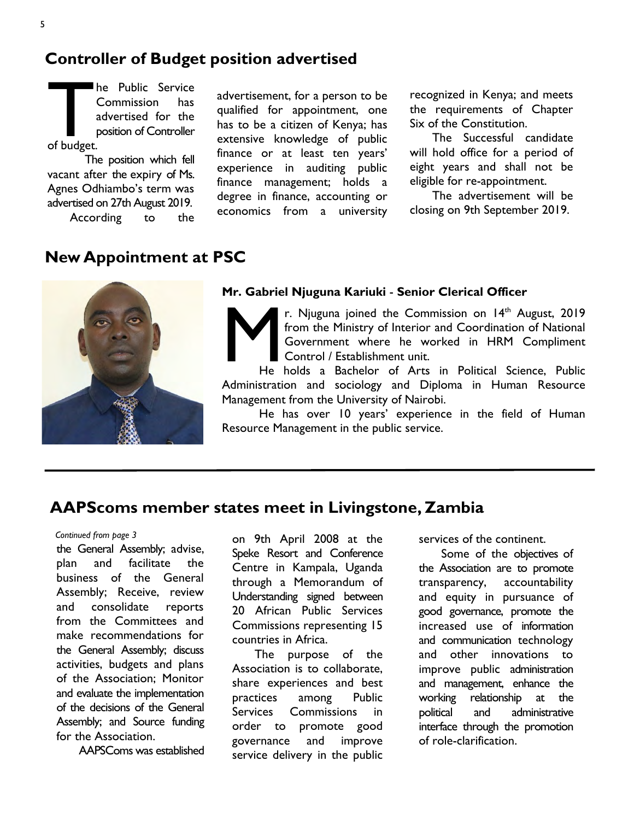## Controller of Budget position advertised

The correct of budget. he Public Service Commission has advertised for the position of Controller

The position which fell vacant after the expiry of Ms. Agnes Odhiambo's term was advertised on 27th August 2019. According to the

advertisement, for a person to be qualified for appointment, one has to be a citizen of Kenya; has extensive knowledge of public finance or at least ten years' experience in auditing public finance management; holds a degree in finance, accounting or economics from a university

recognized in Kenya; and meets the requirements of Chapter Six of the Constitution.

The Successful candidate will hold office for a period of eight years and shall not be eligible for re-appointment.

The advertisement will be closing on 9th September 2019.

# New Appointment at PSC



#### Mr. Gabriel Njuguna Kariuki - Senior Clerical Officer

r. Njuguna joined the Commission on  $14<sup>th</sup>$  August, 2019 from the Ministry of Interior and Coordination of National Government where he worked in HRM Compliment Control / Establishment unit.

M He holds a Bachelor of Arts in Political Science, Public Administration and sociology and Diploma in Human Resource Management from the University of Nairobi.

He has over 10 years' experience in the field of Human Resource Management in the public service.

## AAPScoms member states meet in Livingstone, Zambia

#### Continued from page 3

the General Assembly; advise, plan and facilitate the business of the General Assembly; Receive, review and consolidate reports from the Committees and make recommendations for the General Assembly; discuss activities, budgets and plans of the Association; Monitor and evaluate the implementation of the decisions of the General Assembly; and Source funding for the Association.

AAPSComs was established

on 9th April 2008 at the Speke Resort and Conference Centre in Kampala, Uganda through a Memorandum of Understanding signed between 20 African Public Services Commissions representing 15 countries in Africa.

The purpose of the Association is to collaborate, share experiences and best practices among Public Services Commissions in order to promote good governance and improve service delivery in the public

services of the continent.

Some of the objectives of the Association are to promote transparency, accountability and equity in pursuance of good governance, promote the increased use of information and communication technology and other innovations to improve public administration and management, enhance the working relationship at the political and administrative interface through the promotion of role-clarification.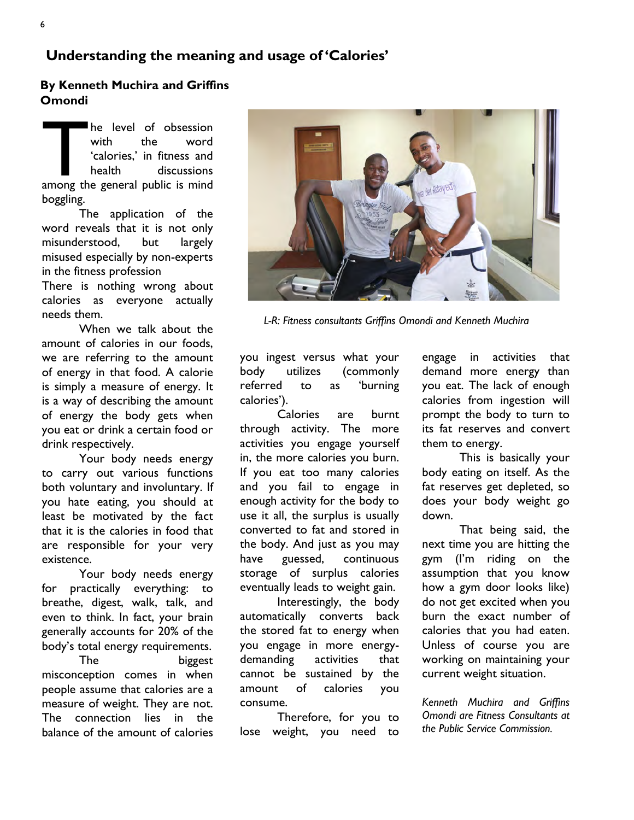## By Kenneth Muchira and Griffins **Omondi**

The level of obsession<br>
with the word<br>
'calories,' in fitness and<br>
health discussions<br>
among the general public is mind he level of obsession with the word 'calories,' in fitness and health discussions boggling.

The application of the word reveals that it is not only misunderstood, but largely misused especially by non-experts in the fitness profession

There is nothing wrong about calories as everyone actually needs them.

When we talk about the amount of calories in our foods, we are referring to the amount of energy in that food. A calorie is simply a measure of energy. It is a way of describing the amount of energy the body gets when you eat or drink a certain food or drink respectively.

Your body needs energy to carry out various functions both voluntary and involuntary. If you hate eating, you should at least be motivated by the fact that it is the calories in food that are responsible for your very existence.

Your body needs energy for practically everything: to breathe, digest, walk, talk, and even to think. In fact, your brain generally accounts for 20% of the body's total energy requirements.

The biggest misconception comes in when people assume that calories are a measure of weight. They are not. The connection lies in the balance of the amount of calories



L-R: Fitness consultants Griffins Omondi and Kenneth Muchira

you ingest versus what your body utilizes (commonly referred to as 'burning calories').

Calories are burnt through activity. The more activities you engage yourself in, the more calories you burn. If you eat too many calories and you fail to engage in enough activity for the body to use it all, the surplus is usually converted to fat and stored in the body. And just as you may have guessed, continuous storage of surplus calories eventually leads to weight gain.

Interestingly, the body automatically converts back the stored fat to energy when you engage in more energydemanding activities that cannot be sustained by the amount of calories you consume.

Therefore, for you to lose weight, you need to

engage in activities that demand more energy than you eat. The lack of enough calories from ingestion will prompt the body to turn to its fat reserves and convert them to energy.

This is basically your body eating on itself. As the fat reserves get depleted, so does your body weight go down.

That being said, the next time you are hitting the gym (I'm riding on the assumption that you know how a gym door looks like) do not get excited when you burn the exact number of calories that you had eaten. Unless of course you are working on maintaining your current weight situation.

Kenneth Muchira and Griffins Omondi are Fitness Consultants at the Public Service Commission.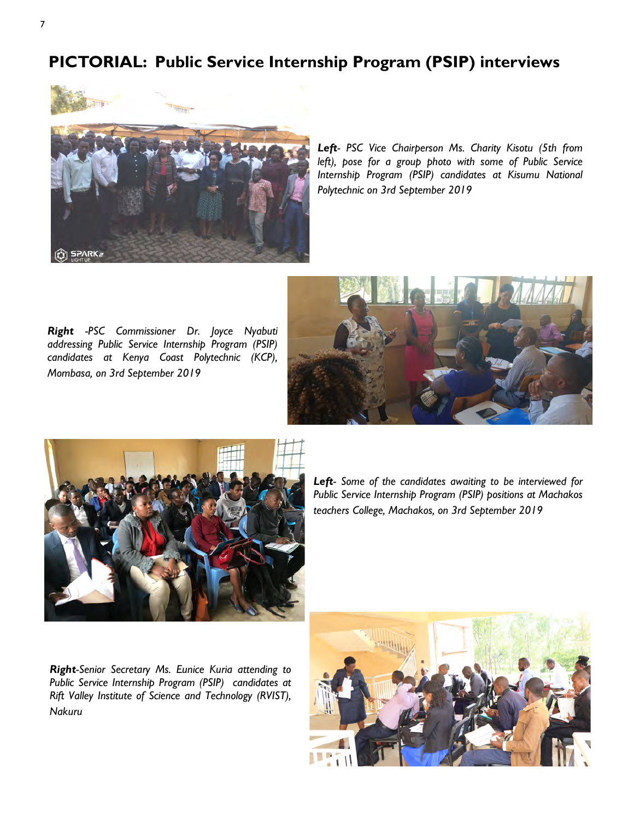# PICTORIAL: Public Service Internship Program (PSIP) interviews



Left- PSC Vice Chairperson Ms. Charity Kisotu (5th from left), pose for a group photo with some of Public Service Internship Program (PSIP) candidates at Kisumu National Polytechnic on 3rd September 2019

Right -PSC Commissioner Dr. Joyce Nyabuti addressing Public Service Internship Program (PSIP) candidates at Kenya Coast Polytechnic (KCP), Mombasa, on 3rd September 2019





Left- Some of the candidates awaiting to be interviewed for Public Service Internship Program (PSIP) positions at Machakos teachers College, Machakos, on 3rd September 2019

Right-Senior Secretary Ms. Eunice Kuria attending to Public Service Internship Program (PSIP) candidates at Rift Valley Institute of Science and Technology (RVIST), Nakuru